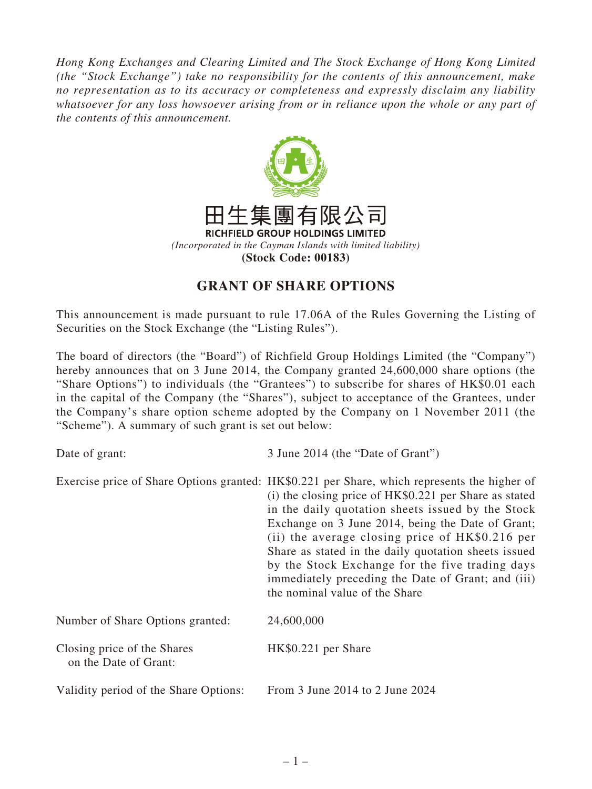*Hong Kong Exchanges and Clearing Limited and The Stock Exchange of Hong Kong Limited (the "Stock Exchange") take no responsibility for the contents of this announcement, make no representation as to its accuracy or completeness and expressly disclaim any liability whatsoever for any loss howsoever arising from or in reliance upon the whole or any part of the contents of this announcement.*



## **GRANT OF SHARE OPTIONS**

This announcement is made pursuant to rule 17.06A of the Rules Governing the Listing of Securities on the Stock Exchange (the "Listing Rules").

The board of directors (the "Board") of Richfield Group Holdings Limited (the "Company") hereby announces that on 3 June 2014, the Company granted 24,600,000 share options (the "Share Options") to individuals (the "Grantees") to subscribe for shares of HK\$0.01 each in the capital of the Company (the "Shares"), subject to acceptance of the Grantees, under the Company's share option scheme adopted by the Company on 1 November 2011 (the "Scheme"). A summary of such grant is set out below:

Date of grant: 3 June 2014 (the "Date of Grant") Exercise price of Share Options granted: HK\$0.221 per Share, which represents the higher of (i) the closing price of HK\$0.221 per Share as stated in the daily quotation sheets issued by the Stock Exchange on 3 June 2014, being the Date of Grant; (ii) the average closing price of HK\$0.216 per Share as stated in the daily quotation sheets issued by the Stock Exchange for the five trading days immediately preceding the Date of Grant; and (iii) the nominal value of the Share Number of Share Options granted: 24,600,000 Closing price of the Shares on the Date of Grant: HK\$0.221 per Share Validity period of the Share Options: From 3 June 2014 to 2 June 2024